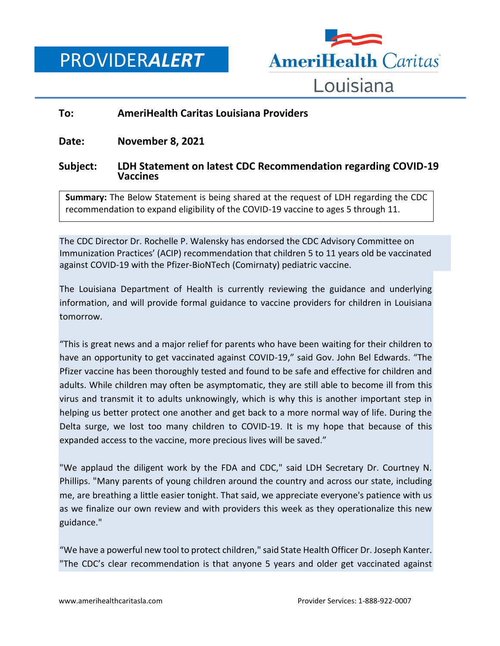PROVIDER*ALERT*



## **To: AmeriHealth Caritas Louisiana Providers**

**Date: November 8, 2021**

## **Subject: LDH Statement on latest CDC Recommendation regarding COVID-19 Vaccines**

**Summary:** The Below Statement is being shared at the request of LDH regarding the CDC recommendation to expand eligibility of the COVID-19 vaccine to ages 5 through 11.

The CDC Director Dr. Rochelle P. Walensky has endorsed the CDC Advisory Committee on Immunization Practices' (ACIP) recommendation that children 5 to 11 years old be vaccinated against COVID-19 with the Pfizer-BioNTech (Comirnaty) pediatric vaccine.

The Louisiana Department of Health is currently reviewing the guidance and underlying information, and will provide formal guidance to vaccine providers for children in Louisiana tomorrow.

"This is great news and a major relief for parents who have been waiting for their children to have an opportunity to get vaccinated against COVID-19," said Gov. John Bel Edwards. "The Pfizer vaccine has been thoroughly tested and found to be safe and effective for children and adults. While children may often be asymptomatic, they are still able to become ill from this virus and transmit it to adults unknowingly, which is why this is another important step in helping us better protect one another and get back to a more normal way of life. During the Delta surge, we lost too many children to COVID-19. It is my hope that because of this expanded access to the vaccine, more precious lives will be saved."

"We applaud the diligent work by the FDA and CDC," said LDH Secretary Dr. Courtney N. Phillips. "Many parents of young children around the country and across our state, including me, are breathing a little easier tonight. That said, we appreciate everyone's patience with us as we finalize our own review and with providers this week as they operationalize this new guidance."

"We have a powerful new tool to protect children," said State Health Officer Dr. Joseph Kanter. "The CDC's clear recommendation is that anyone 5 years and older get vaccinated against